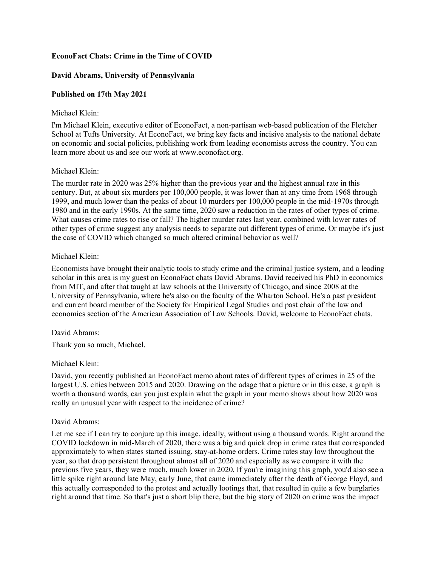## **EconoFact Chats: Crime in the Time of COVID**

# **David Abrams, University of Pennsylvania**

# **Published on 17th May 2021**

#### Michael Klein:

I'm Michael Klein, executive editor of EconoFact, a non-partisan web-based publication of the Fletcher School at Tufts University. At EconoFact, we bring key facts and incisive analysis to the national debate on economic and social policies, publishing work from leading economists across the country. You can learn more about us and see our work at www.econofact.org.

## Michael Klein:

The murder rate in 2020 was 25% higher than the previous year and the highest annual rate in this century. But, at about six murders per 100,000 people, it was lower than at any time from 1968 through 1999, and much lower than the peaks of about 10 murders per 100,000 people in the mid-1970s through 1980 and in the early 1990s. At the same time, 2020 saw a reduction in the rates of other types of crime. What causes crime rates to rise or fall? The higher murder rates last year, combined with lower rates of other types of crime suggest any analysis needs to separate out different types of crime. Or maybe it's just the case of COVID which changed so much altered criminal behavior as well?

## Michael Klein:

Economists have brought their analytic tools to study crime and the criminal justice system, and a leading scholar in this area is my guest on EconoFact chats David Abrams. David received his PhD in economics from MIT, and after that taught at law schools at the University of Chicago, and since 2008 at the University of Pennsylvania, where he's also on the faculty of the Wharton School. He's a past president and current board member of the Society for Empirical Legal Studies and past chair of the law and economics section of the American Association of Law Schools. David, welcome to EconoFact chats.

## David Abrams:

Thank you so much, Michael.

## Michael Klein:

David, you recently published an EconoFact memo about rates of different types of crimes in 25 of the largest U.S. cities between 2015 and 2020. Drawing on the adage that a picture or in this case, a graph is worth a thousand words, can you just explain what the graph in your memo shows about how 2020 was really an unusual year with respect to the incidence of crime?

## David Abrams:

Let me see if I can try to conjure up this image, ideally, without using a thousand words. Right around the COVID lockdown in mid-March of 2020, there was a big and quick drop in crime rates that corresponded approximately to when states started issuing, stay-at-home orders. Crime rates stay low throughout the year, so that drop persistent throughout almost all of 2020 and especially as we compare it with the previous five years, they were much, much lower in 2020. If you're imagining this graph, you'd also see a little spike right around late May, early June, that came immediately after the death of George Floyd, and this actually corresponded to the protest and actually lootings that, that resulted in quite a few burglaries right around that time. So that's just a short blip there, but the big story of 2020 on crime was the impact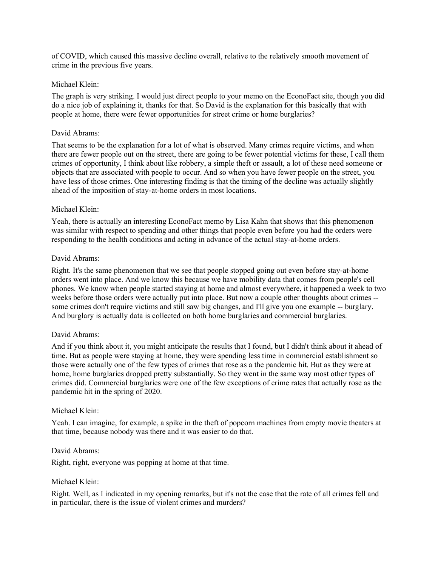of COVID, which caused this massive decline overall, relative to the relatively smooth movement of crime in the previous five years.

#### Michael Klein:

The graph is very striking. I would just direct people to your memo on the EconoFact site, though you did do a nice job of explaining it, thanks for that. So David is the explanation for this basically that with people at home, there were fewer opportunities for street crime or home burglaries?

#### David Abrams:

That seems to be the explanation for a lot of what is observed. Many crimes require victims, and when there are fewer people out on the street, there are going to be fewer potential victims for these, I call them crimes of opportunity, I think about like robbery, a simple theft or assault, a lot of these need someone or objects that are associated with people to occur. And so when you have fewer people on the street, you have less of those crimes. One interesting finding is that the timing of the decline was actually slightly ahead of the imposition of stay-at-home orders in most locations.

#### Michael Klein:

Yeah, there is actually an interesting EconoFact memo by Lisa Kahn that shows that this phenomenon was similar with respect to spending and other things that people even before you had the orders were responding to the health conditions and acting in advance of the actual stay-at-home orders.

#### David Abrams:

Right. It's the same phenomenon that we see that people stopped going out even before stay-at-home orders went into place. And we know this because we have mobility data that comes from people's cell phones. We know when people started staying at home and almost everywhere, it happened a week to two weeks before those orders were actually put into place. But now a couple other thoughts about crimes - some crimes don't require victims and still saw big changes, and I'll give you one example -- burglary. And burglary is actually data is collected on both home burglaries and commercial burglaries.

#### David Abrams:

And if you think about it, you might anticipate the results that I found, but I didn't think about it ahead of time. But as people were staying at home, they were spending less time in commercial establishment so those were actually one of the few types of crimes that rose as a the pandemic hit. But as they were at home, home burglaries dropped pretty substantially. So they went in the same way most other types of crimes did. Commercial burglaries were one of the few exceptions of crime rates that actually rose as the pandemic hit in the spring of 2020.

#### Michael Klein:

Yeah. I can imagine, for example, a spike in the theft of popcorn machines from empty movie theaters at that time, because nobody was there and it was easier to do that.

#### David Abrams:

Right, right, everyone was popping at home at that time.

#### Michael Klein:

Right. Well, as I indicated in my opening remarks, but it's not the case that the rate of all crimes fell and in particular, there is the issue of violent crimes and murders?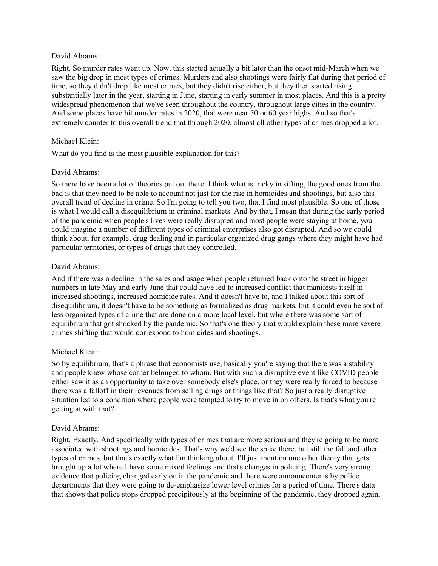#### David Abrams:

Right. So murder rates went up. Now, this started actually a bit later than the onset mid-March when we saw the big drop in most types of crimes. Murders and also shootings were fairly flat during that period of time, so they didn't drop like most crimes, but they didn't rise either, but they then started rising substantially later in the year, starting in June, starting in early summer in most places. And this is a pretty widespread phenomenon that we've seen throughout the country, throughout large cities in the country. And some places have hit murder rates in 2020, that were near 50 or 60 year highs. And so that's extremely counter to this overall trend that through 2020, almost all other types of crimes dropped a lot.

## Michael Klein:

What do you find is the most plausible explanation for this?

# David Abrams:

So there have been a lot of theories put out there. I think what is tricky in sifting, the good ones from the bad is that they need to be able to account not just for the rise in homicides and shootings, but also this overall trend of decline in crime. So I'm going to tell you two, that I find most plausible. So one of those is what I would call a disequilibrium in criminal markets. And by that, I mean that during the early period of the pandemic when people's lives were really disrupted and most people were staying at home, you could imagine a number of different types of criminal enterprises also got disrupted. And so we could think about, for example, drug dealing and in particular organized drug gangs where they might have had particular territories, or types of drugs that they controlled.

# David Abrams:

And if there was a decline in the sales and usage when people returned back onto the street in bigger numbers in late May and early June that could have led to increased conflict that manifests itself in increased shootings, increased homicide rates. And it doesn't have to, and I talked about this sort of disequilibrium, it doesn't have to be something as formalized as drug markets, but it could even be sort of less organized types of crime that are done on a more local level, but where there was some sort of equilibrium that got shocked by the pandemic. So that's one theory that would explain these more severe crimes shifting that would correspond to homicides and shootings.

# Michael Klein:

So by equilibrium, that's a phrase that economists use, basically you're saying that there was a stability and people knew whose corner belonged to whom. But with such a disruptive event like COVID people either saw it as an opportunity to take over somebody else's place, or they were really forced to because there was a falloff in their revenues from selling drugs or things like that? So just a really disruptive situation led to a condition where people were tempted to try to move in on others. Is that's what you're getting at with that?

## David Abrams:

Right. Exactly. And specifically with types of crimes that are more serious and they're going to be more associated with shootings and homicides. That's why we'd see the spike there, but still the fall and other types of crimes, but that's exactly what I'm thinking about. I'll just mention one other theory that gets brought up a lot where I have some mixed feelings and that's changes in policing. There's very strong evidence that policing changed early on in the pandemic and there were announcements by police departments that they were going to de-emphasize lower level crimes for a period of time. There's data that shows that police stops dropped precipitously at the beginning of the pandemic, they dropped again,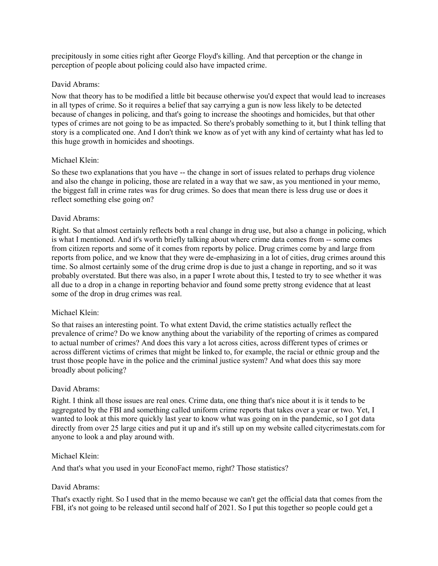precipitously in some cities right after George Floyd's killing. And that perception or the change in perception of people about policing could also have impacted crime.

## David Abrams:

Now that theory has to be modified a little bit because otherwise you'd expect that would lead to increases in all types of crime. So it requires a belief that say carrying a gun is now less likely to be detected because of changes in policing, and that's going to increase the shootings and homicides, but that other types of crimes are not going to be as impacted. So there's probably something to it, but I think telling that story is a complicated one. And I don't think we know as of yet with any kind of certainty what has led to this huge growth in homicides and shootings.

# Michael Klein:

So these two explanations that you have -- the change in sort of issues related to perhaps drug violence and also the change in policing, those are related in a way that we saw, as you mentioned in your memo, the biggest fall in crime rates was for drug crimes. So does that mean there is less drug use or does it reflect something else going on?

## David Abrams:

Right. So that almost certainly reflects both a real change in drug use, but also a change in policing, which is what I mentioned. And it's worth briefly talking about where crime data comes from -- some comes from citizen reports and some of it comes from reports by police. Drug crimes come by and large from reports from police, and we know that they were de-emphasizing in a lot of cities, drug crimes around this time. So almost certainly some of the drug crime drop is due to just a change in reporting, and so it was probably overstated. But there was also, in a paper I wrote about this, I tested to try to see whether it was all due to a drop in a change in reporting behavior and found some pretty strong evidence that at least some of the drop in drug crimes was real.

## Michael Klein:

So that raises an interesting point. To what extent David, the crime statistics actually reflect the prevalence of crime? Do we know anything about the variability of the reporting of crimes as compared to actual number of crimes? And does this vary a lot across cities, across different types of crimes or across different victims of crimes that might be linked to, for example, the racial or ethnic group and the trust those people have in the police and the criminal justice system? And what does this say more broadly about policing?

## David Abrams:

Right. I think all those issues are real ones. Crime data, one thing that's nice about it is it tends to be aggregated by the FBI and something called uniform crime reports that takes over a year or two. Yet, I wanted to look at this more quickly last year to know what was going on in the pandemic, so I got data directly from over 25 large cities and put it up and it's still up on my website called citycrimestats.com for anyone to look a and play around with.

## Michael Klein:

And that's what you used in your EconoFact memo, right? Those statistics?

## David Abrams:

That's exactly right. So I used that in the memo because we can't get the official data that comes from the FBI, it's not going to be released until second half of 2021. So I put this together so people could get a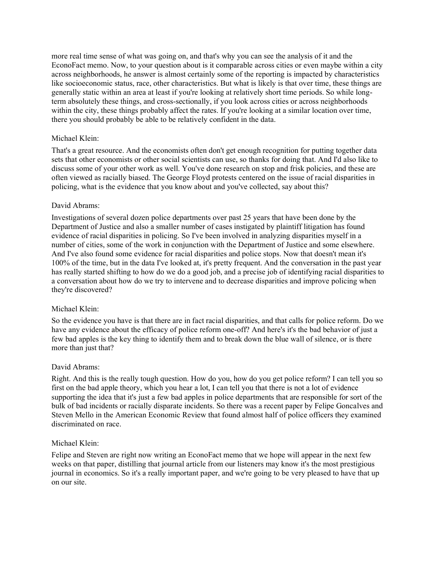more real time sense of what was going on, and that's why you can see the analysis of it and the EconoFact memo. Now, to your question about is it comparable across cities or even maybe within a city across neighborhoods, he answer is almost certainly some of the reporting is impacted by characteristics like socioeconomic status, race, other characteristics. But what is likely is that over time, these things are generally static within an area at least if you're looking at relatively short time periods. So while longterm absolutely these things, and cross-sectionally, if you look across cities or across neighborhoods within the city, these things probably affect the rates. If you're looking at a similar location over time, there you should probably be able to be relatively confident in the data.

#### Michael Klein:

That's a great resource. And the economists often don't get enough recognition for putting together data sets that other economists or other social scientists can use, so thanks for doing that. And I'd also like to discuss some of your other work as well. You've done research on stop and frisk policies, and these are often viewed as racially biased. The George Floyd protests centered on the issue of racial disparities in policing, what is the evidence that you know about and you've collected, say about this?

#### David Abrams:

Investigations of several dozen police departments over past 25 years that have been done by the Department of Justice and also a smaller number of cases instigated by plaintiff litigation has found evidence of racial disparities in policing. So I've been involved in analyzing disparities myself in a number of cities, some of the work in conjunction with the Department of Justice and some elsewhere. And I've also found some evidence for racial disparities and police stops. Now that doesn't mean it's 100% of the time, but in the data I've looked at, it's pretty frequent. And the conversation in the past year has really started shifting to how do we do a good job, and a precise job of identifying racial disparities to a conversation about how do we try to intervene and to decrease disparities and improve policing when they're discovered?

## Michael Klein:

So the evidence you have is that there are in fact racial disparities, and that calls for police reform. Do we have any evidence about the efficacy of police reform one-off? And here's it's the bad behavior of just a few bad apples is the key thing to identify them and to break down the blue wall of silence, or is there more than just that?

#### David Abrams:

Right. And this is the really tough question. How do you, how do you get police reform? I can tell you so first on the bad apple theory, which you hear a lot, I can tell you that there is not a lot of evidence supporting the idea that it's just a few bad apples in police departments that are responsible for sort of the bulk of bad incidents or racially disparate incidents. So there was a recent paper by Felipe Goncalves and Steven Mello in the American Economic Review that found almost half of police officers they examined discriminated on race.

#### Michael Klein:

Felipe and Steven are right now writing an EconoFact memo that we hope will appear in the next few weeks on that paper, distilling that journal article from our listeners may know it's the most prestigious journal in economics. So it's a really important paper, and we're going to be very pleased to have that up on our site.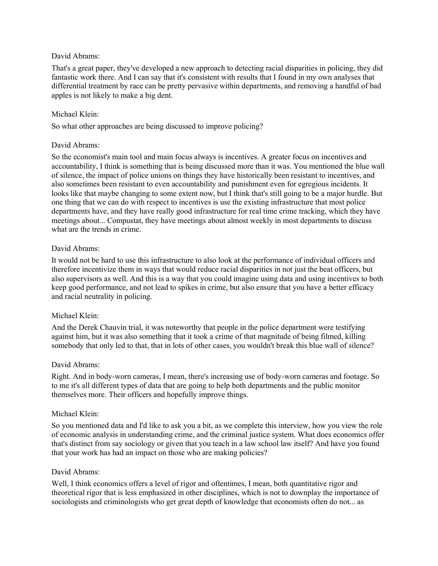#### David Abrams:

That's a great paper, they've developed a new approach to detecting racial disparities in policing, they did fantastic work there. And I can say that it's consistent with results that I found in my own analyses that differential treatment by race can be pretty pervasive within departments, and removing a handful of bad apples is not likely to make a big dent.

## Michael Klein:

So what other approaches are being discussed to improve policing?

## David Abrams:

So the economist's main tool and main focus always is incentives. A greater focus on incentives and accountability, I think is something that is being discussed more than it was. You mentioned the blue wall of silence, the impact of police unions on things they have historically been resistant to incentives, and also sometimes been resistant to even accountability and punishment even for egregious incidents. It looks like that maybe changing to some extent now, but I think that's still going to be a major hurdle. But one thing that we can do with respect to incentives is use the existing infrastructure that most police departments have, and they have really good infrastructure for real time crime tracking, which they have meetings about... Compustat, they have meetings about almost weekly in most departments to discuss what are the trends in crime.

#### David Abrams:

It would not be hard to use this infrastructure to also look at the performance of individual officers and therefore incentivize them in ways that would reduce racial disparities in not just the beat officers, but also supervisors as well. And this is a way that you could imagine using data and using incentives to both keep good performance, and not lead to spikes in crime, but also ensure that you have a better efficacy and racial neutrality in policing.

## Michael Klein:

And the Derek Chauvin trial, it was noteworthy that people in the police department were testifying against him, but it was also something that it took a crime of that magnitude of being filmed, killing somebody that only led to that, that in lots of other cases, you wouldn't break this blue wall of silence?

#### David Abrams:

Right. And in body-worn cameras, I mean, there's increasing use of body-worn cameras and footage. So to me it's all different types of data that are going to help both departments and the public monitor themselves more. Their officers and hopefully improve things.

#### Michael Klein:

So you mentioned data and I'd like to ask you a bit, as we complete this interview, how you view the role of economic analysis in understanding crime, and the criminal justice system. What does economics offer that's distinct from say sociology or given that you teach in a law school law itself? And have you found that your work has had an impact on those who are making policies?

#### David Abrams:

Well, I think economics offers a level of rigor and oftentimes, I mean, both quantitative rigor and theoretical rigor that is less emphasized in other disciplines, which is not to downplay the importance of sociologists and criminologists who get great depth of knowledge that economists often do not... as